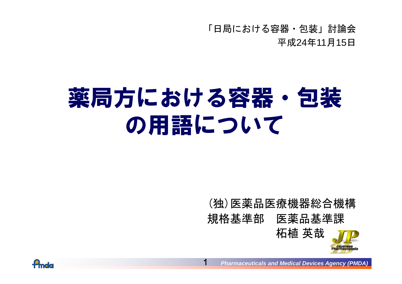「日局における容器・包装」討論会 平成24 年11 月15 日

# 薬局方における容器・包装 の用語について

1

#### ( 独 )医薬品医療機器総合機構 規格基準部 医薬品基準課



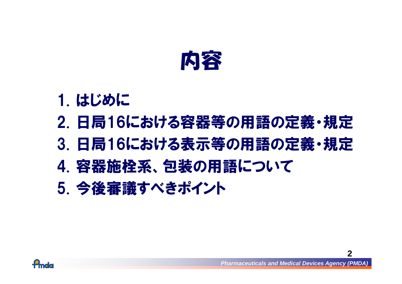

## 1. はじめに

# 2. 日局16における容器等の用語の定義・規定

- 3. 日局16における表示等の用語の定義・規定
- 4. 容器施栓系、包装の用語について
- 5. 今後審議すべきポイント

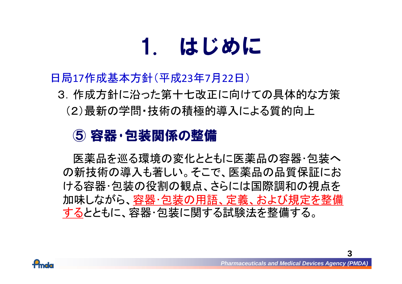# 1. はじめに

#### 日局17作成基本方針(平成23年7月22日)

3.作成方針に沿った第十七改正に向けての具体的な方策

(2)最新の学問・技術の積極的導入による質的向上

#### ⑤ 容器・包装関係の整備

医薬品を巡る環境の変化とともに医薬品の容器・包装へ の新技術の導入も著しい。そこで、医薬品の品質保証にお ける容器・包装の役割の観点、さらには国際調和の視点を 加味しながら、容器・包装の用語、定義、および規定を整備 するとともに、容器・包装に関する試験法を整備する。

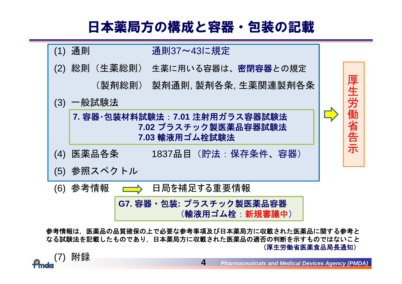#### 日本薬局方の構成と容器・包装の記載



参考情報は,医薬品の品質確保の上で必要な参考事項及び日本薬局方に収載された医薬品に関する参考と なる試験法を記載したものであり 日本薬局方に収載された医薬品の適否の判断を示すものではないこと なる試験法を記載したものであり,日本薬局方に収載された医薬品の適否の判断を示すものではないこと(厚生労働省医薬食品局長通知)

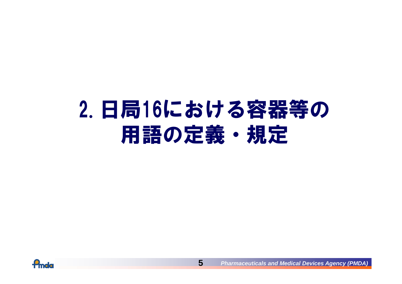# 2.日局16における容器等の 用語の定義・規定

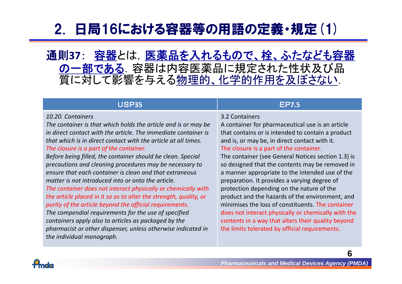### 2. 日局16における容器等の用語の定義・規定(1)

通則**37**: 容器とは,医薬品を入れるもので、栓、ふたなども容器 の一部である.容器は内容医薬品に規定された性状及び品 質に対して影響を与える物理的、化学的作用を及ぼさない.

#### USP**35**

#### *10.20. Containers*

*The container is that which holds the article and is or may be in direct contact with the article. The immediate container is that which is in direct contact with the article at all times times.The closure is a part of the container.*

*Before being filled, the container should be clean. Special precautions and cleaning procedures may be necessary to ensure that each container is clean and that extraneous matter is not introduced into or onto the article.*

*The container does not interact physically or chemically with the article placed in it so as to alter the strength, quality, or purity of the article beyond the official requirements.*

*The compendial requirements for the use of specified containers apply also to articles as packaged by the pharmacist or other dispenser, unless otherwise indicated in the individual monograph.*

#### EP**7.5**

#### 3.2 Containers

A container for pharmaceutical use is an article that contains or is intended to contain a product and is, or may be, in direct contact with it. The closure is a part of the container.

The container (see General Notices section 1.3) is so designed that the contents may be removed in a manner appropriate to the intended use of the preparation. It provides a varying degree of protection depending on the nature of the product and the hazards of the environment, and minimises the loss of constituents. The container does not interact physically or chemically with the contents in a way that alters their quality beyond the limits tolerated by official requirements.

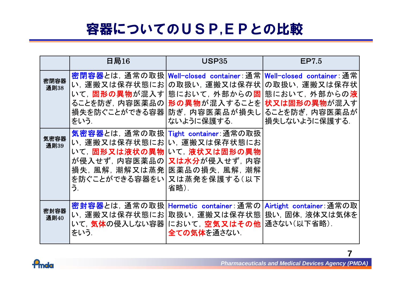### 容器についてのUSP,EPとの比較

|              | 日局16                                                     | USP35                                                                                                                                                                             | EP7.5                                                                                    |
|--------------|----------------------------------------------------------|-----------------------------------------------------------------------------------------------------------------------------------------------------------------------------------|------------------------------------------------------------------------------------------|
| 密閉容器<br>通則38 | い,運搬又は保存状態にお <br>ることを防ぎ,内容医薬品の <br>損失を防ぐことができる容器<br>をいう. | <mark>密閉容器</mark> とは, 通常の取扱│Well−closed container∶通常│Well−closed container∶通常<br>の取扱い, 運搬又は保存状 <br>いて, 固形の異物が混入す 態において, 外部からの固 <br>形の異物が混入することを<br>防ぎ, 内容医薬品が損失し <br>ないように保護する.   | の取扱い、運搬又は保存状<br>態において, 外部からの <b>液</b><br>状又は固形の異物が混入す<br>ることを防ぎ, 内容医薬品が<br>損失しないように保護する. |
| 気密容器<br>通則39 | いて. 固形又は液状の異物 <br>を防ぐことができる容器をい<br>う.                    | 気密容器とは、通常の取扱 Tight container: 通常の取扱<br>い,運搬又は保存状態にお い,運搬又は保存状態にお<br>いて、液状又は固形の異物<br>が侵入せず, 内容医薬品の  <b>又は水分</b> が侵入せず, 内容<br>損失, 風解, 潮解又は蒸発 医薬品の損失, 風解, 潮解<br>又は蒸発を保護する(以下<br>省略). |                                                                                          |
| 密封容器<br>通則40 | いて, <b>気体</b> の侵入しない容器 <br>をいう.                          | 密封容器とは, 通常の取扱│Hermetic_container∶通常の│<br>い, 運搬又は保存状態にお 取扱い, 運搬又は保存状態 <br> において, <b>空気又はその他 </b><br>全ての気体を通さない.                                                                    | Airtight container: 通常の取<br>扱い、固体、液体又は気体を<br>通さない(以下省略).                                 |

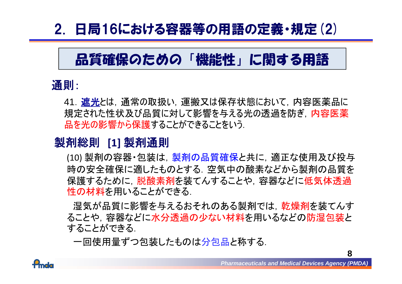### 2. 日局16における容器等の用語の定義・規定(2)

### 品質確保のための「機能性」に関する用語

#### 通則:

41. 遮光とは, 通常の取扱い, 運搬又は保存状態において, 内容医薬品に 規定された性状及び品質に対して影響を与える光の透過を防ぎ,内容医薬<br><mark>品を光の影響から保護</mark>することができることをいう.

#### 製剤総則 **[1]** 製剤通則

(10) 製剤の容器・包装は,製剤の品質確保と共に,適正な使用及び投与 時の安全確保に適したものとする. 空気中の酸素などから製剤の品質を 保護するために、脱酸素剤を装てんすることや、容器などに低気体透過 性の材料を用いることができる.

湿気が品質に影響を与えるおそれのある製剤では,乾燥剤を装てんす ることや,容器などに水分透過の少ない材料を用いるなどの防湿包装と することができる.

一回使用量ずつ包装したものは分包品と称する.

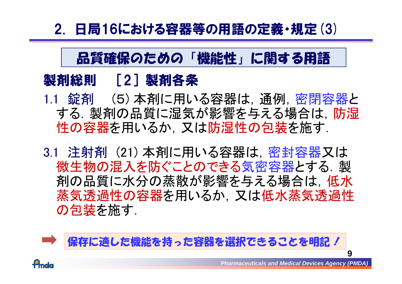### 2. 日局16における容器等の用語の定義・規定(3)

#### 品質確保のための「機能性」に関する用語

#### 製剤総則 [ 2 ]製剤各条

- 1.1 錠剤 (5)本剤に用いる容器は, 通例, 密閉容器と する. 製剤の品質に湿気が影響を与える場合は, 防湿 性の容器を用いるか, 又は防湿性の包装を施す.
- 3.1 注射剤 (21) 本剤に用いる容器は,密封容器又は 微生物の混入を防ぐことのできる気密容器とする.製 剤の品質に水分の蒸散が影響を与える場合は,低水 蒸気透過性の容器を用いるか,又は低水蒸気透過性 の包装を施す.

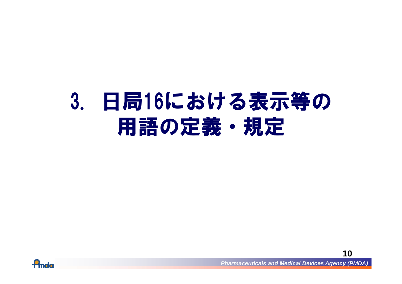# 3. 日局16における表示等の 用語の定義・規定



*Pharmaceuticals and Medical Devices Agency (PMDA)*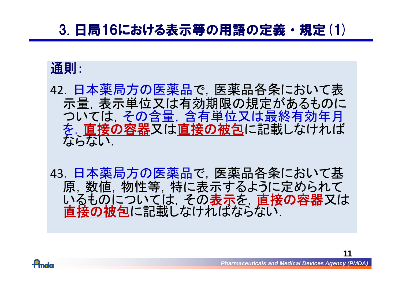#### 3. 日局16における表示等の用語の定義・規定(1)

#### 通則:

- <sup>42</sup>.日本薬局方の医薬品で,医薬品各条において表 示量,表示単位又は有効期限の規定があるものに ついては,その含量,含有単位又は最終有効年月 を、直接の容器又は直接の被包に記載しなければ
- 43. 日本薬局方の医薬品で, 医薬品各条において基 原,数値,物性等,特に表示するように定められて いるものについては、その表示を、直接の容器又は直接の被包に記載しなければならない

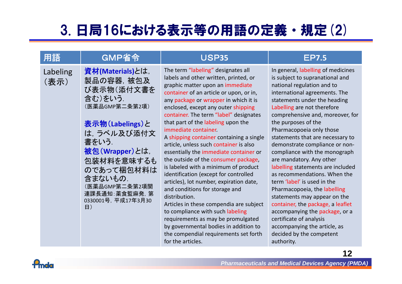### 3. 日局16における表示等の用語の定義・規定(2)

| 用語               | <b>GMP省令</b>                                                                                                                                                                                                                                         | <b>USP35</b>                                                                                                                                                                                                                                                                                                                                                                                                                                                                                                                                                                                                                                                                                                                                                                                                                                                                                                                          | <b>EP7.5</b>                                                                                                                                                                                                                                                                                                                                                                                                                                                                                                                                                                                                                                                                                                                                                                  |
|------------------|------------------------------------------------------------------------------------------------------------------------------------------------------------------------------------------------------------------------------------------------------|---------------------------------------------------------------------------------------------------------------------------------------------------------------------------------------------------------------------------------------------------------------------------------------------------------------------------------------------------------------------------------------------------------------------------------------------------------------------------------------------------------------------------------------------------------------------------------------------------------------------------------------------------------------------------------------------------------------------------------------------------------------------------------------------------------------------------------------------------------------------------------------------------------------------------------------|-------------------------------------------------------------------------------------------------------------------------------------------------------------------------------------------------------------------------------------------------------------------------------------------------------------------------------------------------------------------------------------------------------------------------------------------------------------------------------------------------------------------------------------------------------------------------------------------------------------------------------------------------------------------------------------------------------------------------------------------------------------------------------|
| Labeling<br>(表示) | 資材(Materials)とは,<br>製品の容器, 被包及<br>び表示物(添付文書を<br>含む)をいう.<br>(医薬品GMP第二条第2項)<br>表示物(Labelings)と<br>は、ラベル及び添付文<br>書をいう.<br>被包 (Wrapper)とは,<br>包装材料を意味するも<br>のであって梱包材料は<br>含まないもの.<br>(医薬品GMP第二条第2項関<br>連課長通知:薬食監麻発, 第<br>0330001号, 平成17年3月30<br>$\Box$ ) | The term "labeling" designates all<br>labels and other written, printed, or<br>graphic matter upon an immediate<br>container of an article or upon, or in,<br>any package or wrapper in which it is<br>enclosed, except any outer shipping<br>container. The term "label" designates<br>that part of the labeling upon the<br>immediate container.<br>A shipping container containing a single<br>article, unless such container is also<br>essentially the immediate container or<br>the outside of the consumer package,<br>is labeled with a minimum of product<br>identification (except for controlled<br>articles), lot number, expiration date,<br>and conditions for storage and<br>distribution.<br>Articles in these compendia are subject<br>to compliance with such labeling<br>requirements as may be promulgated<br>by governmental bodies in addition to<br>the compendial requirements set forth<br>for the articles. | In general, labelling of medicines<br>is subject to supranational and<br>national regulation and to<br>international agreements. The<br>statements under the heading<br>Labelling are not therefore<br>comprehensive and, moreover, for<br>the purposes of the<br>Pharmacopoeia only those<br>statements that are necessary to<br>demonstrate compliance or non-<br>compliance with the monograph<br>are mandatory. Any other<br>labelling statements are included<br>as recommendations. When the<br>term 'label' is used in the<br>Pharmacopoeia, the labelling<br>statements may appear on the<br>container, the package, a leaflet<br>accompanying the package, or a<br>certificate of analysis<br>accompanying the article, as<br>decided by the competent<br>authority. |

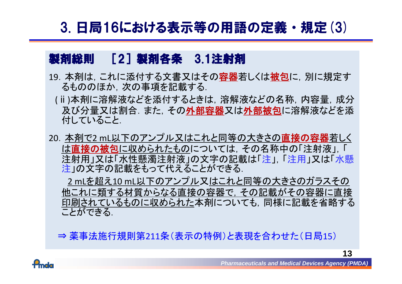#### 3. 日局16における表示等の用語の定義・規定(3)

#### 製剤総則 [2]製剤各条 3.1注射剤

- 19. 本剤は、これに添付する文書又はその容器若しくは被包に, 別に規定す るもののほか,次の事項を記載する.
- (ⅱ)本剤に溶解液などを添付するときは,溶解液などの名称,内容量,成分 及び分量又は割合. また, その外部容器又は外部被包に溶解液などを添 付していること.
- 20. 本剤で2 mL以下のアンプル又はこれと同等の大きさの直接の容器若しく は直接の被包に収められたものについては、その名称中の「注射液」,「 注射用」又は「水性懸濁注射液」の文字の記載は「注」,「注用」又は「水懸 注」の文字の記載をもって代えることができる.

2 mLを超え<sup>10</sup> mL以下のアンプル又はこれと同等の大きさのガラスその 他これに類する材質からなる直接の容器で,その記載がその容器に直接 印刷されているものに収められた本剤についても、同様に記載を省略する ことができる.

⇒ 薬事法施行規則第211条(表示の特例)と表現を合わせた(日局15)

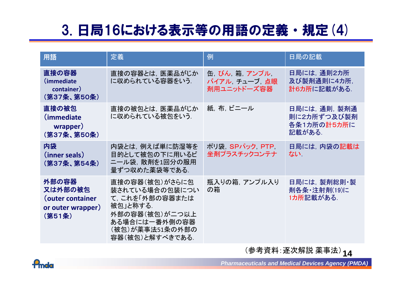### 3. 日局16における表示等の用語の定義・規定(4)

| 用語                                                                  | 定義                                                                                                                                      | 例                                              | 日局の記載                                                 |
|---------------------------------------------------------------------|-----------------------------------------------------------------------------------------------------------------------------------------|------------------------------------------------|-------------------------------------------------------|
| 直接の容器<br>(immediate<br>container)<br>(第37条、第50条)                    | 直接の容器とは、医薬品がじか<br>に収められている容器をいう.                                                                                                        | 缶, びん, 箱, アンプル,<br>バイアル チューブ 点眼<br>剤用ユニットドーズ容器 | 日局には, 通則2カ所<br>及び製剤通則に4カ所,<br>計6カ所に記載がある.             |
| 直接の被包<br>(immediate)<br>wrapper)<br>(第37条、第50条)                     | 直接の被包とは、医薬品がじか<br>に収められている被包をいう.                                                                                                        | 紙, 布, ビニール                                     | 日局には, 通則, 製剤通<br>則に2カ所ずつ及び製剤<br>各条1カ所の計5カ所に<br>記載がある. |
| 内袋<br>(inner seals)<br>(第37条、第54条)                                  | 内袋とは,例えば単に防湿等を<br>目的として被包の下に用いるビ<br>ニール袋, 散剤を1回分の服用<br>量ずつ収めた薬袋等である.                                                                    | ポリ袋, SPパック, PTP,<br>坐剤プラスチックコンテナ               | 日局には, 内袋の記載は<br>ない                                    |
| 外部の容器<br>又は外部の被包<br>(outer container<br>or outer wrapper)<br>(第51条) | 直接の容器(被包)がさらに包<br>装されている場合の包装につい<br>て、これを「外部の容器または<br>被包」と称する.<br>外部の容器(被包)が二つ以上<br>ある場合には一番外側の容器<br>(被包)が薬事法51条の外部の<br>容器(被包)と解すべきである. | 瓶入りの箱、アンプル入り<br>の箱                             | 日局には, 製剤総則・製<br>剤各条・注射剤(19)に<br>1カ所記載がある.             |

**14** (参考資料:逐次解説 薬事法)

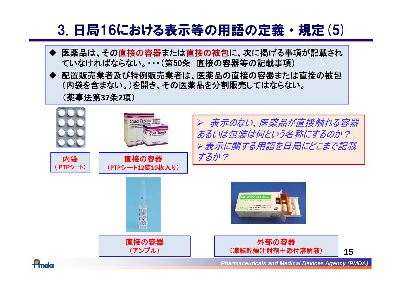#### 3. 日局16における表示等の用語の定義・規定(5)

- ♦ 医薬品は、その直接の容器または直接の被包に、次に掲げる事項が記載され ていなければならない。・・・(第50条 直接の容器等の記載事項)
- ◆ 配置販売業者及び特例販売業者は、医薬品の直接の容器または直接の被包 (内袋を含まない。)を開き、その医薬品を分割販売してはならない。

(薬事法第**37**条**2**項)



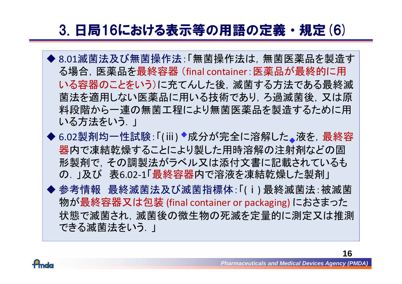#### 3. 日局16における表示等の用語の定義・規定(6)

- ◆ 8.01滅菌法及び無菌操作法:「無菌操作法は, 無菌医薬品を製造す る場合,医薬品を最終容器 (final container:医薬品が最終的に用 いる容器のことをいう)に充てんした後,滅菌する方法である最終滅 菌法を適用しない医薬品に用いる技術であり,ろ過滅菌後,又は原 料段階から一連の無菌工程により無菌医薬品を製造するために用 いる方法をいう.」
- ◆ 6.02製剤均一性試験: 「(ⅲ) ◆成分が完全に溶解した。液を, 最終容 器内で凍結乾燥することにより製した用時溶解の注射剤などの固 形製剤で,その調製法がラベル又は添付文書に記載されているも の 」及び 表6.02-1「最終容器内で溶液を凍結乾燥した製剤」
- 参考情報 最終滅菌法及び滅菌指標体:「(ⅰ) 最終滅菌法:被滅菌 物が最終容器又は包装 (final container or packaging) におさまった 状態で滅菌され, 滅菌後の微生物の死滅を定量的に測定又は推測 できる滅菌法をいう...

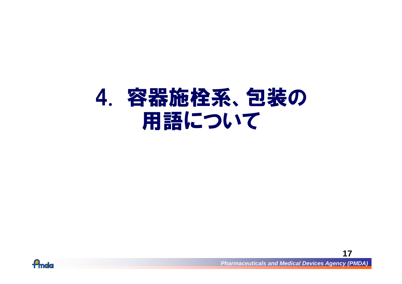# 4. 容器施栓系、包装の 用語について



*Pharmaceuticals and Medical Devices Agency (PMDA)*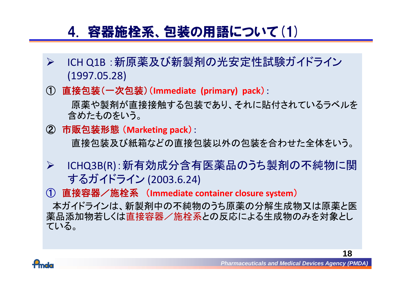#### 4. 容器施栓系、包装の用語について(1)

- $\sum_{i=1}^{n}$  ICH Q1B :新原薬及び新製剤の光安定性試験ガイドライン (1997 05 28) (1997.05.28)
- ① 直接包装(一次包装) (**Immediate (primary) pack** ):

原薬や製剤が直接接触する包装であり、それに貼付されているラベルを 含めたものをいう。

② 市販包装形態 (**Marketing pack** ):

直接包装及び紙箱などの直接包装以外の包装を合わせた全体をいう 。

- $\blacktriangleright$  ICHQ3B(R):新有効成分含有医薬品のうち製剤の不純物に関 するガイドライン (2003.6.24)
- ① 直接容器/施栓系 (**Immediate container closure system** )

本ガイドラインは、新製剤中の不純物のうち原薬の分解生成物又は原薬と医 薬品添加物若しくは直接容器/施栓系との反応による生成物のみを対象とし ている。

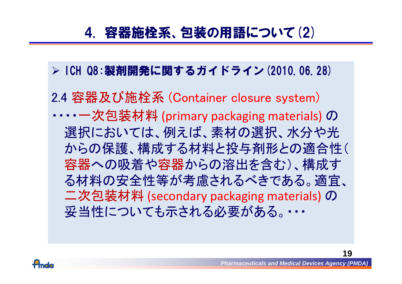#### 4. 容器施栓系、包装の用語について(2)

#### **▷ ICH Q8:製剤開発に関するガイドライン(2010.06.28)**

2.4 容器及び施栓系 (Container closure system) ・・・・ 一次包装材料 (primary packaging materials) の 選択においては、例えば、素材の選択、水分や光 からの保護、構成する材料と投与剤形との適合性( 容器への吸着や容器からの溶出を含む)、構成す る材料の安全性等が考慮されるべきである。適宜、 二次包装材料 (secondary packaging materials) の 妥当性についても示される必要がある。・・・

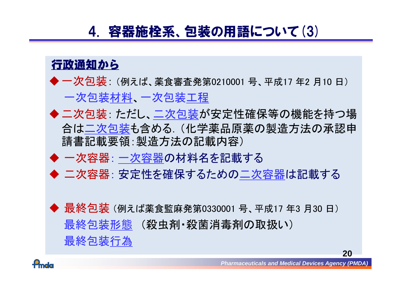#### 4. 容器施栓系、包装の用語について(3)



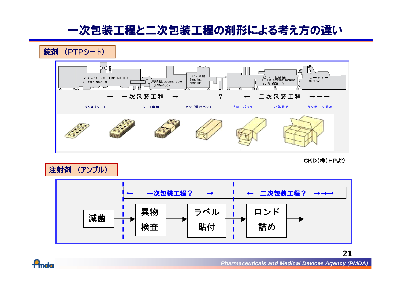#### 一次包装工程と二次包装工程の剤形による考え方の違い



CKD(株)HPより

**21**

注射剤 (アンプル)



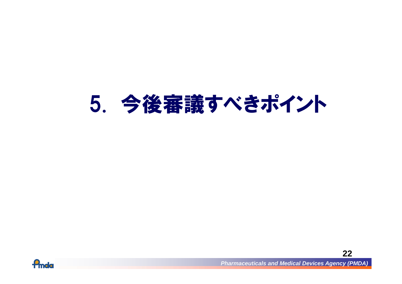# 5. 今後審議すべきポイント



*Pharmaceuticals and Medical Devices Agency (PMDA)*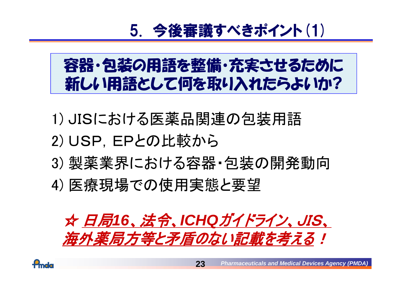# 5. 今後審議すべきポイント(1)

# 容器・包装の用語を整備・充実させるために 新しい用語として何を取り入れたらよいか?

- 1) JISにおける医薬品関連の包装用語 2) USP, EPとの比較から
- 3) 製薬業界における容器・包装の開発動向
- 4) 医療現場での使用実態と要望



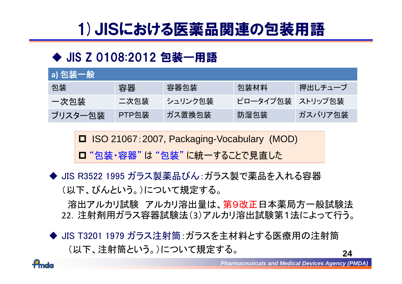# 1)JISにおける医薬品関連の包装用語

#### ◆ JIS Z 0108:2012 包装一用語

| [a] 包装一般 \ |       |         |                  |         |
|------------|-------|---------|------------------|---------|
| 包装         | 容器    | 容器包装    | 包装材料             | 押出しチューブ |
| 一次包装       | 二次包装  | シュリンク包装 | ピロータイプ包装 ストリップ包装 |         |
| ブリスター包装    | PTP包装 | ガス置換包装  | 防湿包装             | ガスバリア包装 |

■ ISO 21067:2007, Packaging-Vocabulary (MOD)

ロ "包装・容器" は "包装" に統一することで見直した

◆ JIS R3522 1995 ガラス製薬品びん:ガラス製で薬品を入れる容器<br>(以下、びんという。)について規定する。

溶出アルカリ試験 アルカリ溶出量は、第9改正日本薬局方一般試験法 <sup>22</sup>.注射剤用ガラス容器試験法( 3)アルカリ溶出試験第1法によって行う。

◆ JIS T3201 1979 ガラス注射筒: ガラスを主材料とする医療用の注射筒 (以下、注射筒という。)について規定する。

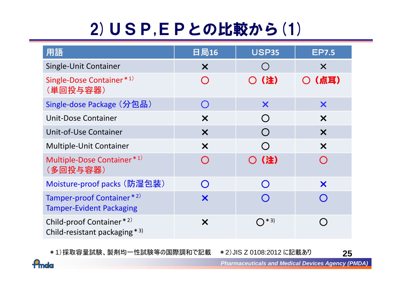# 2)USP,EPとの比較から(1)

| 用語                                                           | 日局16                      | <b>USP35</b>                                  | <b>EP7.5</b>              |
|--------------------------------------------------------------|---------------------------|-----------------------------------------------|---------------------------|
| Single-Unit Container                                        | $\boldsymbol{\mathsf{X}}$ | $\left( \begin{array}{c} \end{array} \right)$ | $\boldsymbol{\times}$     |
| Single-Dose Container*1)<br>(単回投与容器)                         | $\bigcap$                 | ○(注)                                          | (点耳)                      |
| Single-dose Package (分包品)                                    | $\bigcap$                 | X                                             | X                         |
| <b>Unit-Dose Container</b>                                   | $\boldsymbol{\mathsf{X}}$ | $\bigcap$                                     | $\boldsymbol{\mathsf{X}}$ |
| <b>Unit-of-Use Container</b>                                 | $\boldsymbol{\mathsf{X}}$ | $\bigcap$                                     | $\boldsymbol{\mathsf{X}}$ |
| <b>Multiple-Unit Container</b>                               | $\boldsymbol{\mathsf{X}}$ |                                               | $\boldsymbol{\mathsf{X}}$ |
| Multiple-Dose Container*1)<br>(多回投与容器)                       | $\bigcap$                 | ○ (注)                                         |                           |
| Moisture-proof packs (防湿包装)                                  | $\bigcap$                 | $\bigcap$                                     | X                         |
| Tamper-proof Container*2)<br><b>Tamper-Evident Packaging</b> | X                         |                                               |                           |
| Child-proof Container*2)<br>Child-resistant packaging $*3$   | $\boldsymbol{\mathsf{X}}$ | $\bigcap$ * 3)                                |                           |

\*1)採取容量試験、製剤均一性試験等の国際調和で記載 <sup>2</sup>)JIS Z 0108:2012 に記載あり **25**

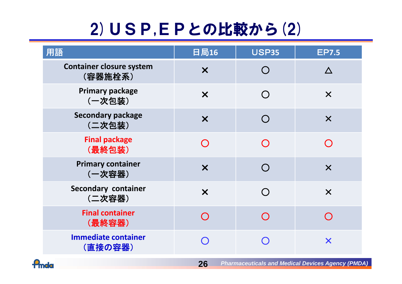# 2)USP,EPとの比較から(2)

| 用語                                         | 日局16                      | <b>USP35</b> | <b>EP7.5</b>              |
|--------------------------------------------|---------------------------|--------------|---------------------------|
| <b>Container closure system</b><br>(容器施栓系) | $\boldsymbol{\mathsf{X}}$ |              |                           |
| <b>Primary package</b><br>(一次包装)           | $\boldsymbol{\mathsf{X}}$ |              | $\boldsymbol{\times}$     |
| <b>Secondary package</b><br>(二次包装)         | $\boldsymbol{\mathsf{X}}$ |              | $\boldsymbol{\mathsf{X}}$ |
| <b>Final package</b><br>(最終包装)             |                           |              |                           |
| <b>Primary container</b><br>(一次容器)         | $\boldsymbol{\mathsf{X}}$ |              | $\boldsymbol{\times}$     |
| <b>Secondary container</b><br>(二次容器)       | $\boldsymbol{\mathsf{X}}$ |              | $\boldsymbol{\mathsf{X}}$ |
| <b>Final container</b><br>(最終容器)           |                           |              |                           |
| <b>Immediate container</b><br>(直接の容器)      |                           |              | $\boldsymbol{\mathsf{X}}$ |

**26**



*Pharmaceuticals and Medical Devices Agency (PMDA)*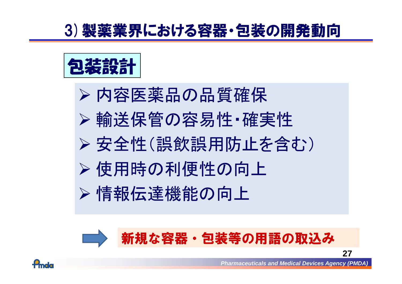## 3)製薬業界における容器・包装の開発動向



▶ 内容医薬品の品質確保 輸送保管の容易性・確実性 安全性(誤飲誤用防止を含む) > 使用時の利便性の向上 >情報伝達機能の向上





*Pharmaceuticals and Medical Devices Agency (PMDA)*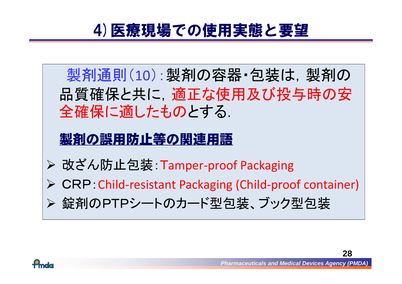## 4)医療現場での使用実態と要望

製剤通則(10):製剤の容器・包装は、製剤の 品質確保と共に、適正な使用及び投与時の安 全確保に適したものとする.

### <u> 製剤の誤用防止等の関連用語</u>

- 改ざん防止包装: Tamper ‐proof Packaging
- ▶ CRP Child-resistant Packaging (Child-proof container)
- > 錠剤のPTPシートのカード型包装、ブック型包装